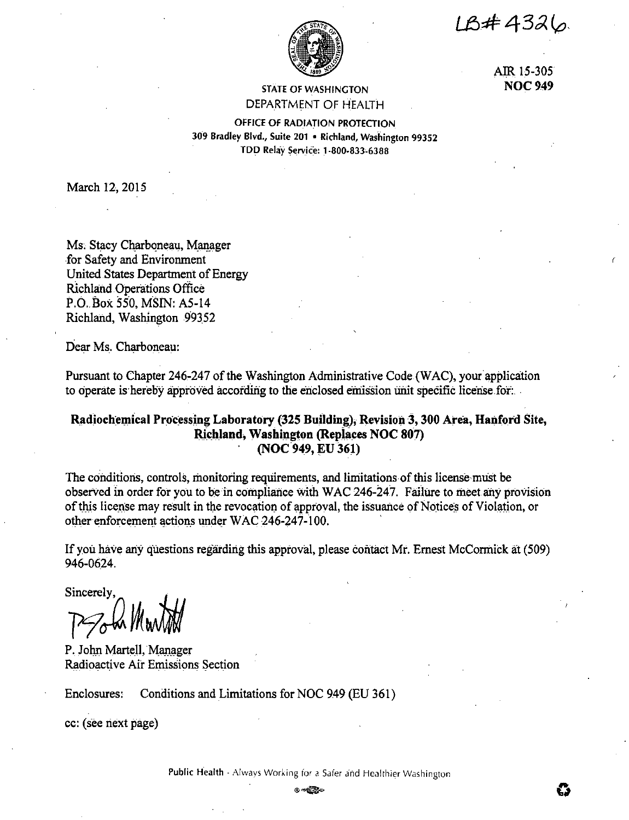IB#4326



AIR 15-305 **NOC 949** 

Ũ

## **STATE OF WASHINGTON** DEPARTMENT OF HEALTH

OFFICE OF RADIATION PROTECTION 309 Bradley Blvd., Suite 201 . Richland, Washington 99352 TDD Relay Service: 1-800-833-6388

March 12, 2015

Ms. Stacy Charboneau, Manager for Safety and Environment United States Department of Energy **Richland Operations Office** P.O. Box 550, MSIN: A5-14 Richland, Washington 99352

Dear Ms. Charboneau:

Pursuant to Chapter 246-247 of the Washington Administrative Code (WAC), your application to operate is hereby approved according to the enclosed emission unit specific license for.

# Radiochemical Processing Laboratory (325 Building), Revision 3, 300 Area, Hanford Site, Richland, Washington (Replaces NOC 807) (NOC 949, EU 361)

The conditions, controls, monitoring requirements, and limitations of this license must be observed in order for you to be in compliance with WAC 246-247. Failure to meet any provision of this license may result in the revocation of approval, the issuance of Notices of Violation, or other enforcement actions under WAC 246-247-100.

If you have any questions regarding this approval, please contact Mr. Ernest McCormick at (509) 946-0624.

Sincerely,

P. John Martell, Manager Radioactive Air Emissions Section

Enclosures: Conditions and Limitations for NOC 949 (EU 361)

cc: (see next page)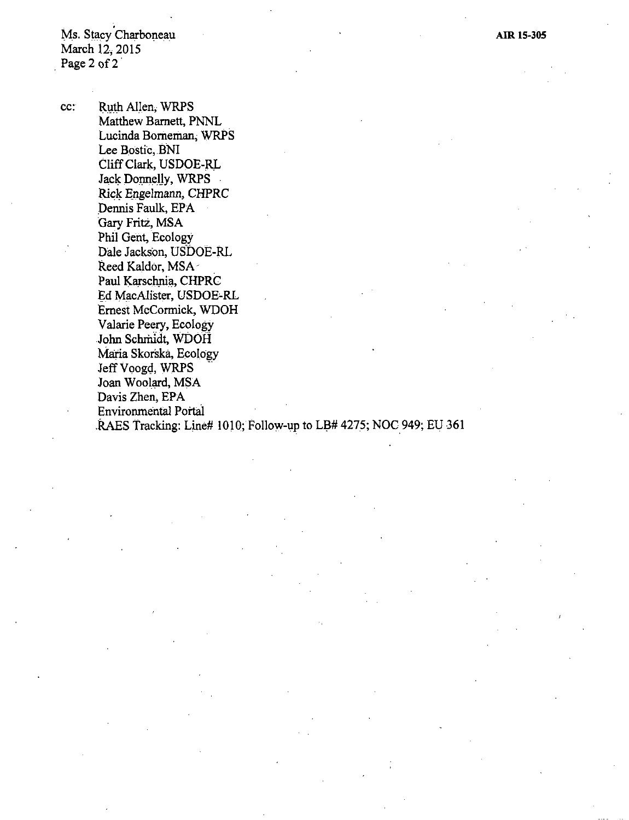Ms. Stacy Charboneau March 12, 2015 Page 2 of 2

cc: Ruth Allen, WRPS Matthew Barnett, PNNL Lucinda Borneman; WRPS Lee Bostic, BNI Cliff Clark, USDOE-RL Jack Donnelly, WRPS Rick Engelmann, CHPRC Dennis Faulk, EPA Gary Fritz, MSA Phil Gent, Ecology Dale Jackson, USDOE-RL Reed Kaldor, MSA-Paul Karschnia, CHPRC Ed MacAlister, USDOE-RL Ernest McCormick, WDOH Valarie Peery, Ecology John Schmidt, WDOH Maria Skorska, Ecology Jeff Voogd, WRPS Joan Woolard, MSA Davis Zhen, EPA Environmental Portal .RAES Tracking: Line# 1010; Follow-up to LB# 4275; NOC 949; EU 361 **AIR 15-305**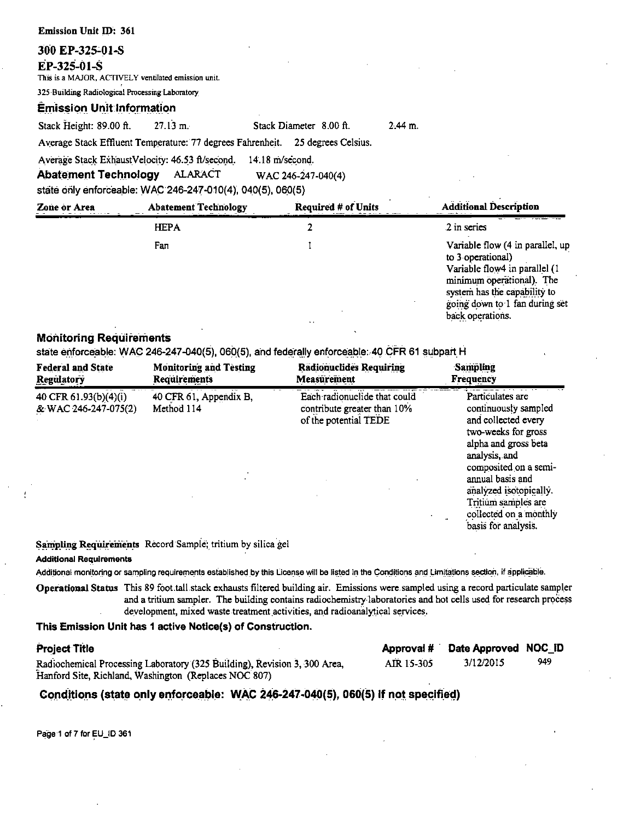| <b>Emission Unit ID: 361</b>                    |                                                                                                                                                      |                                         |           |                                                                                                                     |
|-------------------------------------------------|------------------------------------------------------------------------------------------------------------------------------------------------------|-----------------------------------------|-----------|---------------------------------------------------------------------------------------------------------------------|
| 300 EP-325-01-S<br>EP-325-01-S                  | This is a MAJOR. ACTIVELY ventilated emission unit.                                                                                                  |                                         |           |                                                                                                                     |
| 325 Building Radiological Processing Laboratory |                                                                                                                                                      |                                         |           |                                                                                                                     |
| <b>Emission Unit Information</b>                |                                                                                                                                                      |                                         |           |                                                                                                                     |
| Stack Height: 89.00 ft.                         | $27.13 \text{ m.}$                                                                                                                                   | Stack Diameter 8.00 ft.                 | $2.44$ m. |                                                                                                                     |
|                                                 | Average Stack Effluent Temperature: 77 degrees Fahrenheit. 25 degrees Celsius.                                                                       |                                         |           |                                                                                                                     |
|                                                 | Average Stack ExhaustVelocity: 46.53 ft/second.<br><b>Abatement Technology ALARACT</b><br>state only enforceable: WAC 246-247-010(4), 040(5), 060(5) | $14.18$ m/second.<br>WAC 246-247-040(4) |           |                                                                                                                     |
| Zone or Area                                    | <b>Abatement Technology</b>                                                                                                                          | <b>Required # of Units</b>              |           | <b>Additional Description</b>                                                                                       |
|                                                 | <b>HEPA</b>                                                                                                                                          |                                         |           | 2 in series                                                                                                         |
|                                                 | Fan                                                                                                                                                  |                                         |           | Variable flow (4 in parallel, up<br>to 3 operational)<br>Variable flow4 in parallel (1<br>minimum operational). The |

system has the capability to going down to 1 fan during set

back operations.

### **Monitoring Requirements**

state enforceable: WAC 246-247-040(5), 060(5), and federally enforceable: 40 CFR 61 subpart H

| <b>Federal and State</b>                      | <b>Monitoring and Testing</b>        | <b>Radionuclides Requiring</b>                                                       | <b>Sampling</b>                                                                                                                                                                                                                                                                |
|-----------------------------------------------|--------------------------------------|--------------------------------------------------------------------------------------|--------------------------------------------------------------------------------------------------------------------------------------------------------------------------------------------------------------------------------------------------------------------------------|
| Regulatory                                    | <b>Requirements</b>                  | Measurement                                                                          | Frequency                                                                                                                                                                                                                                                                      |
| 40 CFR 61.93(b)(4)(i)<br>& WAC 246-247-075(2) | 40 CFR 61, Appendix B,<br>Method 114 | Each radionuclide that could<br>contribute greater than 10%<br>of the potential TEDE | Particulates are<br>continuously sampled<br>and collected every<br>two-weeks for gross<br>alpha and gross beta<br>analysis, and<br>composited on a semi-<br>annual basis and<br>analyzed isotopically.<br>Tritium samples are<br>collected on a monthly<br>basis for analysis. |

Sampling Requirements Record Sample; tritium by silica gel

#### **Additional Requirements**

Additional monitoring or sampling requirements established by this License will be listed in the Conditions and Limitations section, if applicable.

Operational Status This 89 foot tall stack exhausts filtered building air. Emissions were sampled using a record particulate sampler and a tritium sampler. The building contains radiochemistry laboratories and hot cells used for research process development, mixed waste treatment activities, and radioanalytical services.

### This Emission Unit has 1 active Notice(s) of Construction.

| <b>Project Title</b>                                                      |            | Approval # Date Approved NOC_ID |     |
|---------------------------------------------------------------------------|------------|---------------------------------|-----|
| Radiochemical Processing Laboratory (325 Building), Revision 3, 300 Area, | AIR 15-305 | 3/12/2015                       | 949 |
| Hanford Site, Richland, Washington (Replaces NOC 807)                     |            |                                 |     |

### Conditions (state only enforceable: WAC 246-247-040(5), 060(5) if not specified)

Page 1 of 7 for EU\_ID 361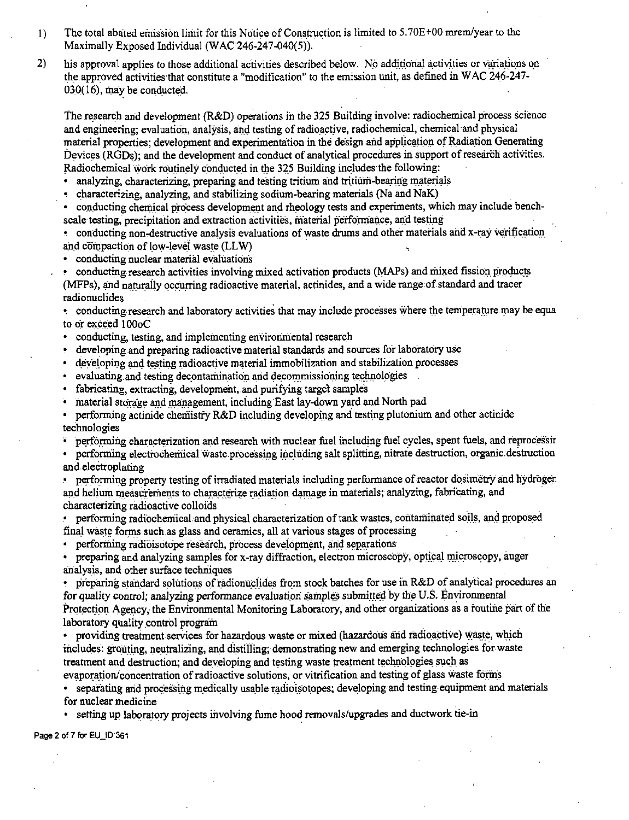- 1) The total abated emission limit for this Notice of Construction is limited to 5.70E+00 mrem/year to the Maximally Exposed Individual (WAC $246-247-040(5)$ ).
- 2) his approval applies to those additional activities described below. No additional activities or variations on the.approved activities that constitute a "modification" to the emission unit, as defined in WAC 246-247-  $030(16)$ , may be conducted.

The research and development (R&D) operations in the 325 Building involve: radiochemical process science and engineering; evaluation, analysis, and testing of radioactive, radiochemical, chemical and physical material properties; development and experimentation in the design and application of Radiation Generating Devices (RGDs); and the development and conduct of analytical procedures in support of research activities. Radiochemical work routinely conducted in the 325 Building includes the following:

• analyzing, characterizing, preparing and testing tritium and tritium-bearing materials

• characterizing, analyzing, and stabilizing sodium-bearing materials (Na and NaK)

conducting chemical process development and rheology tests and experiments, which may include benchscale testing, precipitation and extraction activities, material performance, and testing

. conducting non-destructive analysis evaluations of waste drums and other materials and x-ray verification and compaction of low-level waste (LLW)

• conducting nuclear material evaluations

• conducting research activities involving mixed activation products (MAPs) and mixed fission products (MFPs), and naturaily occurring radioactive material, actinides, and a wide range of standard and tracer radionuclide;

• conducting research and laboratory activities that may include processes where the temperature may be equa to or exceed I00oC

- $\bullet$ conducting, testing, and implementing environmental research
- developing and preparing radioactive material standards and sources for laboratory use
- developing and testing radioactive material immobilization and stabilization processes
- evaluating and testing decontamination and decommissioning technologies
- fabricating, extracting, development, and purifying target samples
- material storage and management, including East lay-down yard and North pad
- performing actinide chemistry R&D including developing and testing plutonium and other actinide technologies

 $\bullet$  performing characterization and research with nuclear fuel including fuel cycles, spent fuels, and reprocessin

• performing electrochemical waste processing including salt splitting, nitrate destruction, organic destruction and electroplating

performing property testing of irradiated materials including performance of reactor dosimetry and hydrogen and helium measurements to characterize radiation damage in materials; analyzing, fabricating, and characterizing radioactive colloids

performing radiochemical and physical characterization of tank wastes, contaminated soils, and proposed final waste forms such as glass and ceramics, all at various stages of processing

• performing radioisotope research, process development, and separations

preparing and analyzing samples for x-ray diffraction, electron microscopy, optical microscopy, auger analysis, and other surface techniques

• preparing standard solutions of radionuclides from stock batches for use in R&D of analytical procedures an for quality control; analyzing performance evaluation samples submitted by the U.S. Environmental Protection Agency, the Environmental Monitoring Laboratory, and other organizations as a routine part of the laboratory quality control program

• providing treatment services for hazardous waste or mixed (hazardous and radioactive) waste, which includes: grouting, neutralizing, and distilling; demonstrating new and emerging technologies for waste treatment and destruction; and developing and testing waste treatment technologies such as

evaporation/concentration of radioactive solutions, or vitrification and testing of glass waste forms

separating and processing medically usable radioisotopes; developing and testing equipment and materials for nuclear medicine

setting up laboratory projects involving fume hood removals/upgrades and ductwork tie-in

Page 2 of 7 for EU\_ID 361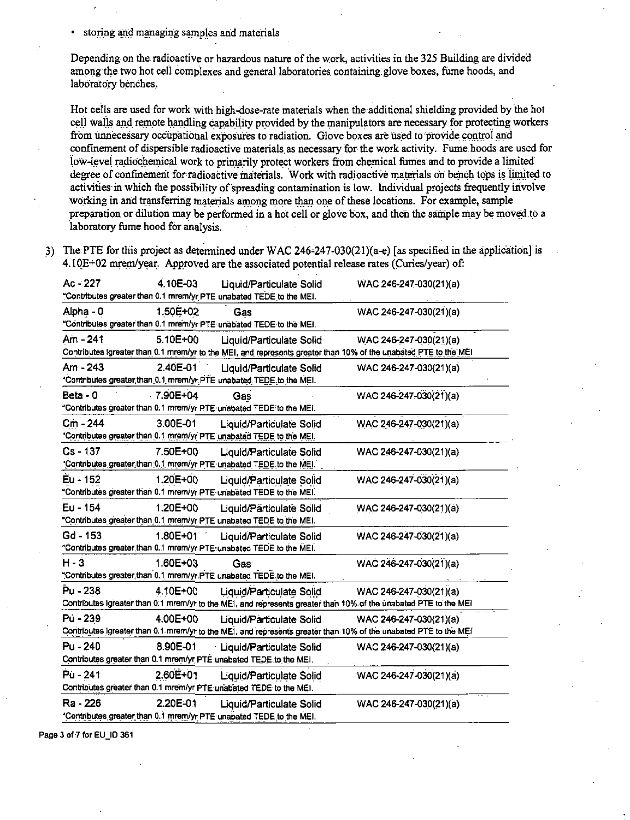storing and managing samples and materials

Depending on the radioactive or hazardous nature of the work, activities in the 325 Building are divided among the two hot cell complexes and general laboratories containing.glove boxes, fume hoods, and laboratory benches.

Hot cells are used for work with high-dose-rate materials when the additional shielding provided by the hot cell walls and remote handling capability provided by the manipulators are necessary for protecting workers from unnecessary occupational exposures to radiation. Glove boxes are used to provide control and confinement of dispersible-radioactive materials as necessary for the work activity. Fume hoods are used for low-level radiochemical work to primarily protect workers from chemical fumes and to provide a limited degree of confinement for radioactive materials. Work with radioactive materials on bench tops is limited to activities in which the possibility of spreading contamination is low. Individual projects frequently involve working in and transferring materials among more than one of these locations. For example, sample preparation or dilution may be performed in a hot cell or glove box, and then the sample may be moved.to a laboratory fume hood for analysis.

3) The PTE for this project as determined under WAC 246-247-030(21)(a-e) [as specified in the application] is 4. 10E+02 mrem/year. Approved are the associated potential release rates (Curies/year) of:

| $Ac - 227$ | 4.10E-03     | <b>Liquid/Particulate Solid</b><br>"Contributes greater than 0.1 mrem/yr PTE unabated TEDE to the MEI.                                       | WAC 246-247-030(21)(a) |
|------------|--------------|----------------------------------------------------------------------------------------------------------------------------------------------|------------------------|
| Alpha - 0  | 1.50E+02     | Gas<br>"Contributes greater than 0.1 mrem/yr PTE unabated TEDE to the MEI.                                                                   | WAC 246-247-030(21)(a) |
| Am - 241   | 5.10E+00     | Liquid/Particulate Solid<br>Contributes Igreater than 0.1 mrom/yr to the MEI, and represents greater than 10% of the unabated PTE to the MEI | WAC 246-247-030(21)(a) |
| Am - 243   | 2.40E-01     | Liquid/Particulate Solid<br>"Contributes greater than 0.1 mrem/yr PTE unabated TEDE to the MEI.                                              | WAC 246-247-030(21)(a) |
| Beta - 0   | $-7.90E+04$  | Gas<br>"Contributes greater than 0.1 mrem/yr PTE unabated TEDE to the MEI.                                                                   | WAC 246-247-030(21)(a) |
| Cm - 244   | 3.00E-01     | <b>Liquid/Particulate Solid</b><br>"Contributes greater than 0.1 mrem/yr PTE unabated TEDE to the MEI.                                       | WAC 246-247-030(21)(a) |
| $Cs - 137$ | 7.50E+00     | Liquid/Particulate Solid<br>"Contributes greater than 0.1 mrem/yr PTE unabated TEDE to the MEI.                                              | WAC 246-247-030(21)(a) |
| Eu - 152   | 1.20E+00     | Liquid/Particulate Solid<br>"Contributes greater than 0.1 mrem/yr PTE unabated TEDE to the MEI.                                              | WAC 246-247-030(21)(a) |
| Eu - 154   | 1.20E+00     | Liquid/Particulate Solid<br>"Contributes greater than 0.1 mrem/yr PTE unabated TEDE to the MEI.                                              | WAC 246-247-030(21)(a) |
| Gd - 153   | 1.80E+01     | <b>Liquid/Particulate Solid</b><br>"Contributes greater than 0.1 mrem/yr PTE: unabated TEDE to the MEI.                                      | WAC 246-247-030(21)(a) |
| $H - 3$    | $1.60E + 03$ | Gas<br>"Contributes greater than 0.1 mrem/yr PTE unabated TEDE to the MEI.                                                                   | WAC 246-247-030(21)(a) |
| Pu - 238   | 4.10E+00     | Liquid/Particulate Solid<br>Contributes Igreater than 0.1 mrem/yr to the MEI, and represents greater than 10% of the unabated PTE to the MEI | WAC 246-247-030(21)(a) |
| Pú - 239   | 4.00E+00     | Liquid/Particulate Solid<br>Contributes Igreater than 0.1 mrem/yr to the MEI, and represents greater than 10% of the unabated PTE to the MEI | WAC 246-247-030(21)(a) |
| Pu - 240   | 8.90E-01     | Liquid/Particulate Solid<br>Contributes greater than 0.1 mrem/yr PTE unabated TEDE to the MEI.                                               | WAC 246-247-030(21)(a) |
| Pù - 241   | 2.60E+01     | Liquid/Particulate Solid<br>Contributes greater than 0.1 mrem/yr PTE unabated TEDE to the MEI.                                               | WAC 246-247-030(21)(a) |
| Ra - 226   | 2.20E-01     | Liquid/Particulate Solid<br>"Contributes greater than 0.1 mrem/yr PTE unabated TEDE to the MEI.                                              | WAC 246-247-030(21)(a) |

Page 3 of 7 for EU\_ID 361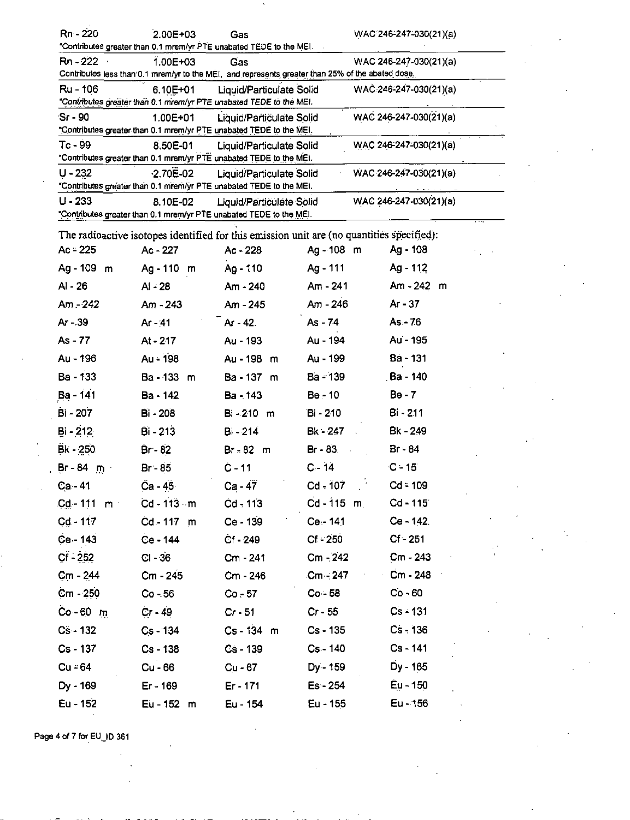| Rn - 220                                                                                                                                                                                        | 2.00E+03                                                                                  | Gas                      |              | WAC 246-247-030(21)(a) |  |
|-------------------------------------------------------------------------------------------------------------------------------------------------------------------------------------------------|-------------------------------------------------------------------------------------------|--------------------------|--------------|------------------------|--|
| "Contributes greater than 0.1 mrem/yr PTE unabated TEDE to the MEI.                                                                                                                             |                                                                                           |                          |              |                        |  |
| 1.00E+03<br>Rn - 222<br>Gas<br>WAC 246-247-030(21)(a)<br>Contributes less than 0.1 mrem/yr to the MEI, and represents greater than 25% of the abated dose.                                      |                                                                                           |                          |              |                        |  |
| Liquid/Particulate Solid<br>Ru - 106<br>6.10E+01<br>$WAC.246-247-030(21)(a)$<br>"Contributes greater than 0.1 mrem/yr PTE unabated TEDE to the MEI.                                             |                                                                                           |                          |              |                        |  |
| $Sr-90$                                                                                                                                                                                         | 1.00E+01<br>"Contributes greater than 0.1 mrem/yr PTE unabated TEDE to the MEI.           | Liquid/Particulate Solid |              | WAC 246-247-030(21)(a) |  |
| $Tc - 99$                                                                                                                                                                                       | 8.50E-01<br>"Contributes greater than 0.1 mrem/yr PTE unabated TEDE to the MEI.           | Liquid/Particulate Solid |              | WAC 246-247-030(21)(a) |  |
| $U - 232$                                                                                                                                                                                       | $-2.70E - 02$                                                                             | Liquid/Particulate Solid |              | WAC 246-247-030(21)(a) |  |
| "Contributes greater than 0.1 mrem/yr PTE unabated TEDE to the MEI.<br>$U - 233$<br>8.10E-02<br>Liquid/Particulate Solid<br>"Contributes greater than 0.1 mrem/yr PTE unabated TEDE to the MEI. |                                                                                           |                          |              | WAC 246-247-030(21)(a) |  |
|                                                                                                                                                                                                 | The radioactive isotopes identified for this emission unit are (no quantities specified): |                          |              |                        |  |
| $Ac = 225$                                                                                                                                                                                      | Ac - 227                                                                                  | Ac - 228                 | Ag-108 m     | Ag - 108               |  |
| Ag - 109 m                                                                                                                                                                                      | Ag - 110 m                                                                                | Ag - 110                 | Ag - 111     | Ag - 112               |  |
| Al - 26                                                                                                                                                                                         | AI - 28                                                                                   | Am - 240                 | Am - 241     | Am - 242 m             |  |
| Am - 242                                                                                                                                                                                        | $Am - 243$                                                                                | Am - 245                 | Am - 246     | Ar - 37                |  |
| Ar - 39                                                                                                                                                                                         | Ar - 41                                                                                   | $Ar - 42$                | $As - 74$    | $As - 76$              |  |
| As - 77                                                                                                                                                                                         | At - 217                                                                                  | Au - 193                 | Au - 194     | Au - 195               |  |
| Au - 196                                                                                                                                                                                        | Au - 198                                                                                  | Au - 198<br>m            | Au - 199     | Ba - 131               |  |
| Ba - 133                                                                                                                                                                                        | Ba - 133<br>m                                                                             | Ba - 137 m               | Ba - 139     | . Ba - 140             |  |
| Ba - 141                                                                                                                                                                                        | Ba - 142                                                                                  | Ba - 143                 | Be - 10      | Be - 7                 |  |
| <b>Bi</b> - 207                                                                                                                                                                                 | <b>Bi - 208</b>                                                                           | Bi-210 m                 | Bi - 210     | Bi - 211               |  |
| $Bi - 212$                                                                                                                                                                                      | Bi - 213                                                                                  | Bi - 214                 | Bk - 247     | Bk - 249               |  |
| $Bk - 250$                                                                                                                                                                                      | $Br - 82$                                                                                 | $Br = 82 \text{ m}$      | Br - 83.     | Br - 84                |  |
| $Br - 84$ m                                                                                                                                                                                     | Br - 85                                                                                   | $C - 11$                 | $C - 14$     | ∙C - 15                |  |
| Ca - 41                                                                                                                                                                                         | Ca - 45                                                                                   | $Ca - 47$                | $Cd - 107$   | $Cd = 109$             |  |
| $Cd - 111$ m                                                                                                                                                                                    | $Cd - 113 - m$                                                                            | $Cd - 113$               | $Cd - 115$ m | $Cd - 115$             |  |
| $Cd - 117$                                                                                                                                                                                      | Cd-117 m                                                                                  | Ce - 139                 | Ce.-141      | $Ce - 142$             |  |
| $Ce - 143$                                                                                                                                                                                      | Ce - 144                                                                                  | $Cf - 249$               | $Cf - 250$   | $Cf - 251$             |  |
| $Cf - 252$                                                                                                                                                                                      | $Cl - 36$                                                                                 | Cm - 241                 | $Cm - 242$   | $Cm - 243$             |  |
| $Cm - 244$                                                                                                                                                                                      | Cm - 245                                                                                  | Cm - 246                 | $Cm - 247$   | Cm - 248               |  |
| $Cm - 250$                                                                                                                                                                                      | $Co - 56$                                                                                 | $Co - 57$                | $Co - 58$    | $Co - 60$              |  |
| $Co-60$ m                                                                                                                                                                                       | $Cr - 49$                                                                                 | $Cr - 51$                | $Cr - 55$    | $Cs - 131$             |  |
| $Cs - 132$                                                                                                                                                                                      | $Cs - 134$                                                                                | Cs-134 m                 | $Cs - 135$   | $Cs - 136$             |  |
| Cs - 137                                                                                                                                                                                        | $Cs - 138$                                                                                | $Cs - 139$               | Cs - 140     | Cs - 141               |  |
| $Cu = 64$                                                                                                                                                                                       | Cu - 66                                                                                   | $Cu - 67$                | $Dy - 159$   | Dy - 165               |  |
| Dy - 169                                                                                                                                                                                        | Er - 169                                                                                  | Er - 171                 | $Es - 254$   | Eu - 150               |  |
| Eu - 152                                                                                                                                                                                        | Eu - 152 m                                                                                | Eu - 154                 | Eu - 155     | Eu - 156               |  |

Page 4 of 7 for EU\_ID 361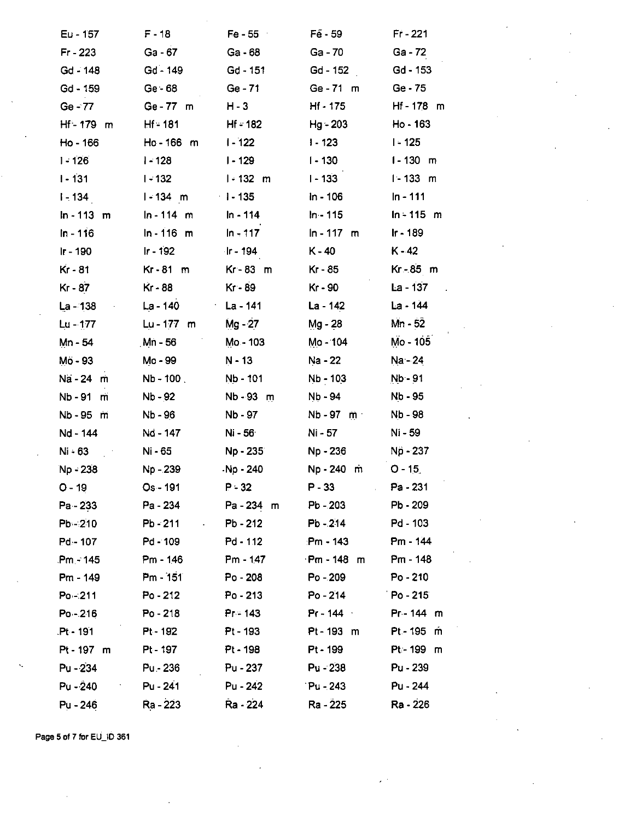| $Eu - 157$   | F-18                  | $Fe - 55$   | $Fe - 59$    | $Fr - 221$      |
|--------------|-----------------------|-------------|--------------|-----------------|
| $Fr - 223$   | Ga - 67               | Ga - 68     | Ga - 70      | Ga - 72         |
| Gd - 148     | $Gd - 149$            | Gd - 151    | Gd - 152     | Gd - 153        |
| Gd - 159     | $Ge - 68$             | $Ge - 71$   | Ge-71 m      | Ge - 75         |
| Ge - 77      | Ge-77 m               | $H - 3$     | Hf - 175     | Hf-178 m        |
| Hf-179 m     | $H = 181$             | $Hf - 182$  | Hg - 203     | Ho - 163        |
| Ho - 166     | Ho-166 m              | $1 - 122$   | $1 - 123$    | $I - 125$       |
| $1 - 126$    | $1 - 128$             | $1 - 129$   | $1 - 130$    | $1 - 130$ m     |
| $1 - 131$    | $1 - 132$             | $1 - 132$ m | $1 - 133$    | $1 - 133$<br>m  |
| $1 - 134$    | $1 - 134$ m           | $1 - 135$   | $ln - 106$   | In - 111        |
| $ln - 113$ m | $ln - 114$ m          | $In - 114$  | $In - 115$   | $In - 115 \, m$ |
| In - 116     | $ln - 116$ m          | $ln - 117$  | $ln - 117$ m | lr - 189        |
| Ir - 190     | $Ir - 192$            | ∤r - 194    | $K - 40$     | K - 42          |
| Kr - 81      | $Kr-81 m$             | Kr-83 m     | Kr - 85      | Kr - 85 m       |
| Kr - 87      | Kr - 88               | Kr - 89     | Kr - 90      | $La - 137$      |
| La - 138     | La - 140              | La - 141    | La - 142     | La - 144        |
| $Lu - 177$   | $Lu - 177$ m          | Mg - 27     | Mg - 28      | Mn - 52         |
| Mn - 54      | Mn - 56               | Mo - 103    | Mo - 104     | Mo - 105        |
| Mö - 93      | Mo - 99               | N - 13      | Na - 22      | Na - 24         |
| Na - 24 m    | $Nb - 100$            | Nb - 101    | Nb - 103     | Nb - 91         |
| Nb - 91<br>m | Nb - 92               | Nb - 93 m   | Nb - 94      | Nb - 95         |
| Nb - 95 m    | Nb - 96               | Nb - 97     | Nb - 97 m    | Nb - 98         |
| Nd - 144     | Nd - 147              | Ni - 56     | Ni - 57      | Ni - 59         |
| $Ni - 63$    | Ni - 65               | Np - 235    | Np - 236     | Np - 237        |
| Np - 238     | Np - 239              | -Np - 240   | Np-240 m     | $O - 15$        |
| $O - 19$     | Os - 191              | $P - 32$    | $P - 33$     | Pa - 231        |
| Pa - 233     | Pa - 234              | Pa-234 m    | Pb - 203     | Pb - 209        |
| $Pb - 210$   | Pb - 211<br>$\bullet$ | $Pb - 212$  | Pb - 214     | Pd - 103        |
| Pd - 107     | Pd - 109              | Pd - 112    | Pm - 143     | Pm - 144        |
| Pm - 145     | Pm - 146              | Pm - 147    | Pm-148 m     | Pm - 148        |
| Pm - 149     | $Pm - 151$            | Po - 208    | Po - 209     | Po - 210        |
| $Po - 211$   | $Po - 212$            | $Po - 213$  | Po - 214     | $Po - 215$      |
| $Po - 216$   | $Po - 218$            | $Pr = 143$  | $Pr - 144$   | Pr-144 m        |
| Pt-191       | Pt - 192              | Pt - 193    | Pt-193 m     | Pt - 195 m      |
| Pt-197 m     | Pt - 197              | Pt - 198    | Pt - 199     | Pt-199 m        |
| Pu - 234     | Pu - 236              | Pu - 237    | $Pu - 238$   | Pu - 239        |
| Pu - 240     | Pu - 241              | Pu - 242    | Pu - 243     | Pu - 244        |
| Pu - 246     | Ra - 223              | Ra - 224    | Ra - 225     | Ra - 226        |

Page 5 of 7 for EU\_ID 361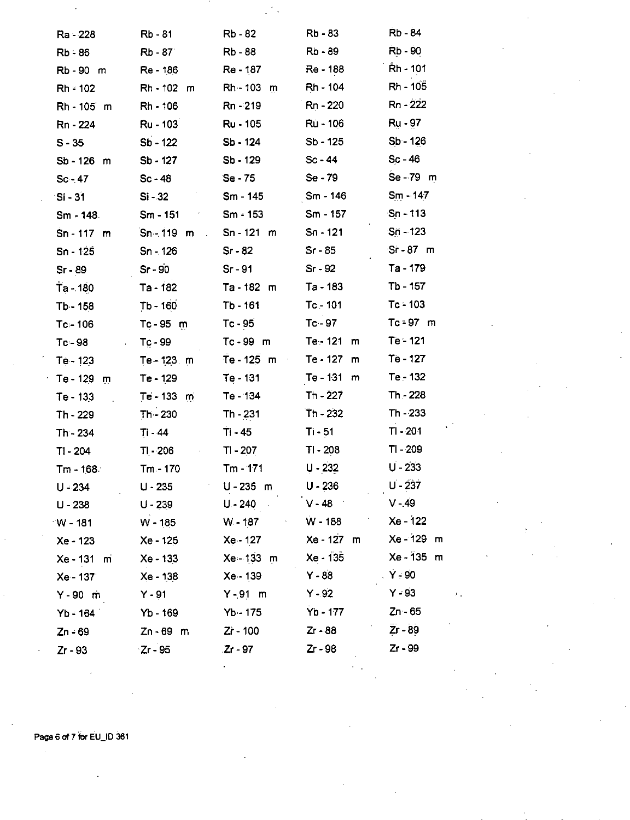| Ra - 228            | Rb - 81                 | Rb - 82                     | Rb - 83                      | Rb - 84           |
|---------------------|-------------------------|-----------------------------|------------------------------|-------------------|
| $Rb - 86$           | Rb - 87                 | <b>Rb</b> - 88              | Rb - 89                      | Rb - 90           |
| Rb-90 m             | Re - 186                | Re - 187                    | Re - 188                     | Rh - 101          |
| $Rh = 102$          | Rh - 102 m              | Rh - 103<br>m               | Rh - 104                     | Rh - 105          |
| Rh - 105 m          | Rh - 106                | Rn-219                      | Rn - 220                     | Rn - 222          |
| Rn - 224            | Ru - 103                | Ru - 105                    | Ru - 106                     | <b>Ru</b> - 97    |
| $S - 35$            | Sb - 122                | Sb - 124                    | Sb - 125                     | $Sb - 126$        |
| Sb-126 m            | Sb - 127                | Sb - 129                    | $Sc - 44$                    | $Sc - 46$         |
| $Sc - 47$           | $Sc - 48$               | Se - 75                     | Se - 79                      | Se - 79 m         |
| $\mathsf{S}$ i - 31 | $Si - 32$               | Sm - 145                    | Sm - 146                     | $Sm - 147$        |
| Sm - 148.           | Sm - 151                | $Sm - 153$                  | Sm - 157                     | $Sn - 113$        |
| Sn-117 m            | $Sn - 119$ m            | Sn - 121<br>m               | Sn - 121                     | $Sn - 123$        |
| $Sn - 125$          | $Sn - 126$              | $Sr-82$                     | $Sr - 85$                    | $Sr-87$ m         |
| $Sr - 89$           | $Sr - 90$               | $Sr-91$                     | $Sr - 92$                    | Ta - 179          |
| $Ta - 180$          | Ta - 182                | $Ta - 182$ m                | Ta - 183                     | Tb - 157          |
| Tb-158              | $Tb - 160$              | $Tb - 161$                  | $Tc - 101$                   | $Tc - 103$        |
| $Tc = 106$          | $Tc - 95$ m             | $Tc - 95$                   | $Tc - 97$                    | $Tc = 97$ m       |
| Tc - 98             | $Tc - 99$               | $Tc - 99$ m                 | $Te - 121$<br>m              | Te - 121          |
| Te - 123            | Te - 123 m              | Te - 125 m<br>$\mathcal{A}$ | Te - 127<br>m                | Te - 127          |
| Te - 129<br>m       | $Te - 129$              | Te - 131                    | Te - 131<br>m                | Te - 132          |
| $Te - 133$          | $Te - 133$ m            | Te - 134                    | $Th - 227$                   | Th - 228          |
| Th - 229            | $Th - 230$              | Th - 231                    | $Th - 232$                   | Th - 233          |
| Th - 234            | Ti - 44                 | $Ti - 45$                   | $Ti - 51$                    | $TI - 201$        |
| $T - 204$           | $T$ - 206<br>$\epsilon$ | $T - 207$                   | TI - 208                     | TI - 209          |
| Tm - 168∂           | $Tm - 170$              | $Tm - 171$                  | $U - 232$                    | $U - 233$         |
| U - 234             | $U - 235$               | U-235 m                     | $U - 236$                    | $U - 237$         |
| U - 238             | U - 239                 | $U - 240$ $V - 48$          |                              | $V - 49$          |
| $^{\circ}$ W - 181  | W - 185                 |                             | <b>W-187</b> W-188           | Xe - 122          |
| Xe - 123            | Xe - 125                | Xe - 127                    | Xe - 127 m                   | Xe - 129 m        |
| Xe - 131 m          | Xe - 133                |                             | Xe 133 m Xe 135 Xe 135 m     |                   |
| Xe - 137            | Xe - 138                | <b>Xe - 139</b>             | $Y - 88$                     | $\mathsf{Y}$ - 90 |
| $Y - 90$ m          | $Y - 91$                | $Y - 91$ m                  | $Y - 92$                     | $Y - 93$          |
| $Yb - 164$          | $Yb - 169$              | Yb - 175                    | $Yb - 177$ $Zn - 65$         |                   |
| Zn - 69             | Zn-69 m                 | $Zr - 100$ $Zr - 88$        | $\mathcal{F}_{\mathrm{max}}$ | $Zr - 89$         |
| Zr - 93             | $Zr - 95$               | $Zr - 97$                   | Zr - 98                      | $Zr - 99$         |
|                     |                         |                             |                              |                   |

Ċ.

i.

Page 6 of 7 for EU\_ID 361